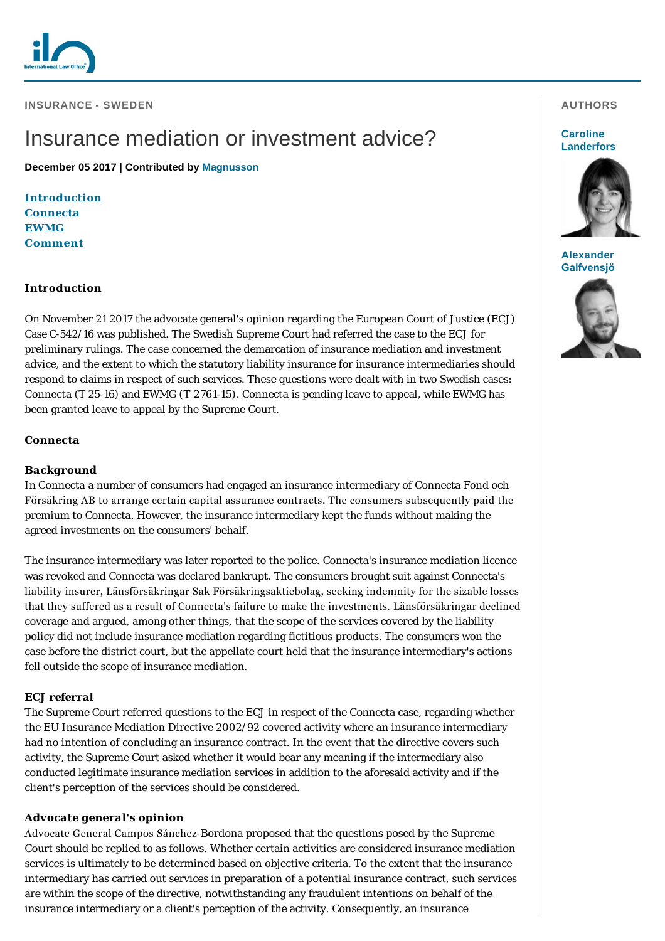

**INSURANCE - SWEDEN** 

# Insurance mediation or investment advice?

**December 05 2017 | Contributed by [Magnusson](http://www.internationallawoffice.com/gesr.ashx?l=7XBXUG5)**

**[Introduction](#page-0-0)** *[Connecta](#page-0-1) [EWMG](#page-1-0)* **[Comment](#page-1-1)**

## <span id="page-0-0"></span>**Introduction**

On November 21 2017 the advocate general's opinion regarding the European Court of Justice (ECJ) Case C-542/16 was published. The Swedish Supreme Court had referred the case to the ECJ for preliminary rulings. The case concerned the demarcation of insurance mediation and investment advice, and the extent to which the statutory liability insurance for insurance intermediaries should respond to claims in respect of such services. These questions were dealt with in two Swedish cases: *Connecta* (T 25-16) and *EWMG* (T 2761-15). *Connecta* is pending leave to appeal, while *EWMG* has been granted leave to appeal by the Supreme Court.

## <span id="page-0-1"></span>*Connecta*

## *Background*

In *Connecta* a number of consumers had engaged an insurance intermediary of Connecta Fond och Försäkring AB to arrange certain capital assurance contracts. The consumers subsequently paid the premium to Connecta. However, the insurance intermediary kept the funds without making the agreed investments on the consumers' behalf.

The insurance intermediary was later reported to the police. Connecta's insurance mediation licence was revoked and Connecta was declared bankrupt. The consumers brought suit against Connecta's liability insurer, Länsförsäkringar Sak Försäkringsaktiebolag, seeking indemnity for the sizable losses that they suffered as a result of Connecta's failure to make the investments. Länsförsäkringar declined coverage and argued, among other things, that the scope of the services covered by the liability policy did not include insurance mediation regarding fictitious products. The consumers won the case before the district court, but the appellate court held that the insurance intermediary's actions fell outside the scope of insurance mediation.

# *ECJ referral*

The Supreme Court referred questions to the ECJ in respect of the Connecta case, regarding whether the EU Insurance Mediation Directive 2002/92 covered activity where an insurance intermediary had no intention of concluding an insurance contract. In the event that the directive covers such activity, the Supreme Court asked whether it would bear any meaning if the intermediary also conducted legitimate insurance mediation services in addition to the aforesaid activity and if the client's perception of the services should be considered.

## *Advocate general's opinion*

Advocate General Campos Sánchez-Bordona proposed that the questions posed by the Supreme Court should be replied to as follows. Whether certain activities are considered insurance mediation services is ultimately to be determined based on objective criteria. To the extent that the insurance intermediary has carried out services in preparation of a potential insurance contract, such services are within the scope of the directive, notwithstanding any fraudulent intentions on behalf of the insurance intermediary or a client's perception of the activity. Consequently, an insurance

### **AUTHORS**

#### **Caroline [Landerfors](http://www.internationallawoffice.com/gesr.ashx?l=7XBXUGP)**



**[Alexander](http://www.internationallawoffice.com/gesr.ashx?l=7XBXUGV)  Galfvensjö**